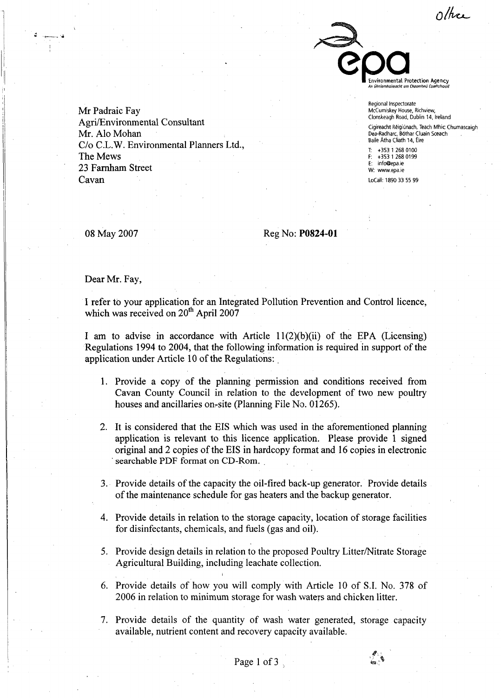other



Regional Inspectorate McCumiskey House, Richview, Clonskeagh Road, Dublin 14, Ireland

Cigireacht Réigiúnach, Teach Mhic Chumascaigh<br>Dea-Radharc, Bóthar Cluain Sceach Baile Atha Cliath **14,** tire

T: t353 1 **268** 0100 F: t353 1 **268** 0199 info@epa.ie **W:** www.epa.ie

LoCall: 1890 33 55 99

08 May 2007

Mr Padraic Fay

Mr. Alo Mohan

23 Farnham Street

The Mews

Cavan

Agri/Environmental Consultant

C/o C.L.W. Environmental Planners Ltd.,

Reg No: **PO824-01** 

Dear Mr. Fay,

I refer to your application for an Integrated Pollution Prevention and Control licence, which was received on  $20<sup>th</sup>$  April 2007

I am to advise in accordance with Article  $11(2)(b)(ii)$  of the EPA (Licensing) Regulations 1994 to 2004, that the following information is required in support of the application under Article 10 of the Regulations:

- 1. Provide a copy of the planning permission and conditions received from Cavan County Council in relation to the development of two new poultry houses and ancillaries on-site (Planning File No. 01265).
- 2. It is considered that the EIS which was used in the aforementioned planning application is relevant to this licence application. Please provide 1 signed original and 2 copies of the EIS in hardcopy format and 16 copies in electronic **searchable PDF** format **on CD-Rom.** .
- *3.*  Provide details of the capacity the oil-fired back-up generator. Provide details of the maintenance schedule for gas heaters and the backup generator.
- 4. Provide details in relation to the storage capacity, location of storage facilities for disinfectants, chemicals, and fuels (gas and oil).
- 5. Provide design details in relation to the proposed Poultry Litter/Nitrate Storage Agricultural Building, including leachate collection.
- 6. Provide details of how you will comply with Article 10 of S.I. No. 378 of 2006 in relation to minimum storage for wash waters and chicken litter.
- 7. Provide details of the quantity of wash water generated, storage capacity available, nutrient content and recovery capacity available.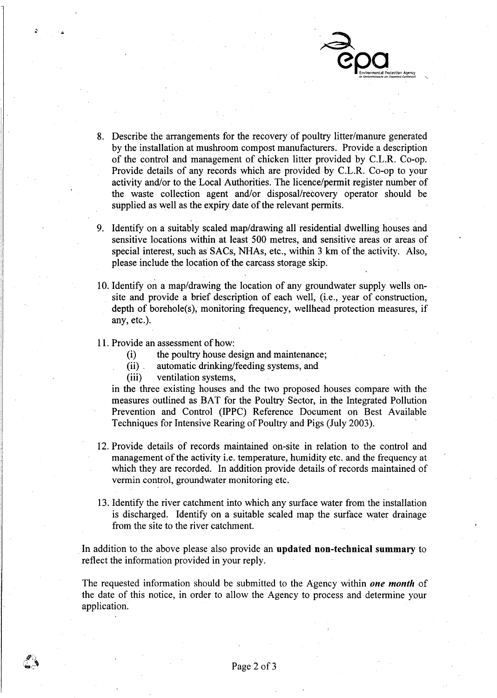

- 8. Describe the arrangements for the recovery of poultry litter/manure generated by the installation at mushroom compost manufacturers. Provide a description of the control and management of chicken litter provided by C.L.R. Co-op. Provide details of any records which are provided by C.L.R. Co-op to your activity and/or to the Local Authorities. The licence/permit register number of the waste collection agent and/or disposal/recovery operator should be supplied as well as the expiry date of the relevant permits.
- 9. Identify on a suitably scaled map/drawing all residential dwelling houses and sensitive locations within at least 500 metres, and sensitive areas or areas of special interest, such as SACS, NHAs, etc., within 3 **km** of the activity. Also, please include the location of the carcass storage skip.
- 10. Identify on a map/drawing the location of any groundwater supply wells onsite and provide a brief description of each well, (i.e., year of construction, depth of borehole(s), monitoring frequency, wellhead protection measures, if any, etc.).
- 1 1. Provide an assessment of how:
	- $\frac{(\mathrm{i})}{(\mathrm{ii})}$ the poultry house design and maintenance;
	- automatic drinking/feeding systems, and
	- (iii) ventilation systems,

in the three existing houses and the two proposed houses compare with the measures outlined as BAT for the Poultry Sector, in the Integrated Pollution Prevention and Control (IPPC) Reference Document on Best Available Techniques for Intensive Rearing of Poultry and Pigs (July 2003).

- 12. Provide details of records maintained on-site in relation to the control and management of the activity i.e. temperature, humidity etc. and the frequency at which they are recorded. In addition provide details of records maintained of vermin control, groundwater monitoring etc.
- 13. Identify the river catchment into which any swrface water from the installation is discharged. Identify on a suitable scaled map the surface water drainage from the site to the river catchment.

In addition to the above please also provide an **updated non-technical summary** to reflect the information provided in your reply.

The requested information should be submitted to the Agency within *one month* of the date of this notice, in order to allow the Agency to process and determine your application.